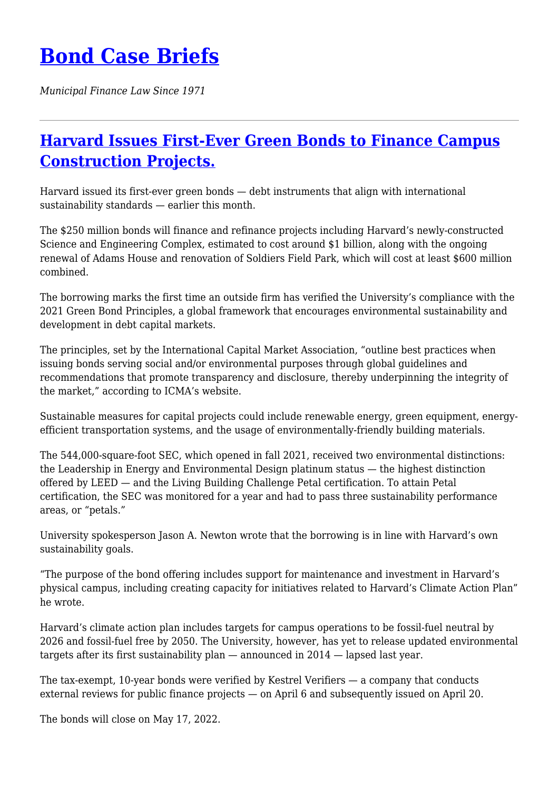*Municipal Finance Law Since 1971*

## **[Harvard Issues First-Ever Green Bonds to Finance Campus](https://bondcasebriefs.com/2022/05/03/news/harvard-issues-first-ever-green-bonds-to-finance-campus-construction-projects/) [Construction Projects.](https://bondcasebriefs.com/2022/05/03/news/harvard-issues-first-ever-green-bonds-to-finance-campus-construction-projects/)**

Harvard issued its first-ever green bonds — debt instruments that align with international sustainability standards — earlier this month.

The \$250 million bonds will finance and refinance projects including Harvard's newly-constructed Science and Engineering Complex, estimated to cost around \$1 billion, along with the ongoing renewal of Adams House and renovation of Soldiers Field Park, which will cost at least \$600 million combined.

The borrowing marks the first time an outside firm has verified the University's compliance with the 2021 Green Bond Principles, a global framework that encourages environmental sustainability and development in debt capital markets.

The principles, set by the International Capital Market Association, "outline best practices when issuing bonds serving social and/or environmental purposes through global guidelines and recommendations that promote transparency and disclosure, thereby underpinning the integrity of the market," according to ICMA's website.

Sustainable measures for capital projects could include renewable energy, green equipment, energyefficient transportation systems, and the usage of environmentally-friendly building materials.

The 544,000-square-foot SEC, which opened in fall 2021, received two environmental distinctions: the Leadership in Energy and Environmental Design platinum status — the highest distinction offered by LEED — and the Living Building Challenge Petal certification. To attain Petal certification, the SEC was monitored for a year and had to pass three sustainability performance areas, or "petals."

University spokesperson Jason A. Newton wrote that the borrowing is in line with Harvard's own sustainability goals.

"The purpose of the bond offering includes support for maintenance and investment in Harvard's physical campus, including creating capacity for initiatives related to Harvard's Climate Action Plan" he wrote.

Harvard's climate action plan includes targets for campus operations to be fossil-fuel neutral by 2026 and fossil-fuel free by 2050. The University, however, has yet to release updated environmental targets after its first sustainability plan — announced in 2014 — lapsed last year.

The tax-exempt, 10-year bonds were verified by Kestrel Verifiers — a company that conducts external reviews for public finance projects — on April 6 and subsequently issued on April 20.

The bonds will close on May 17, 2022.